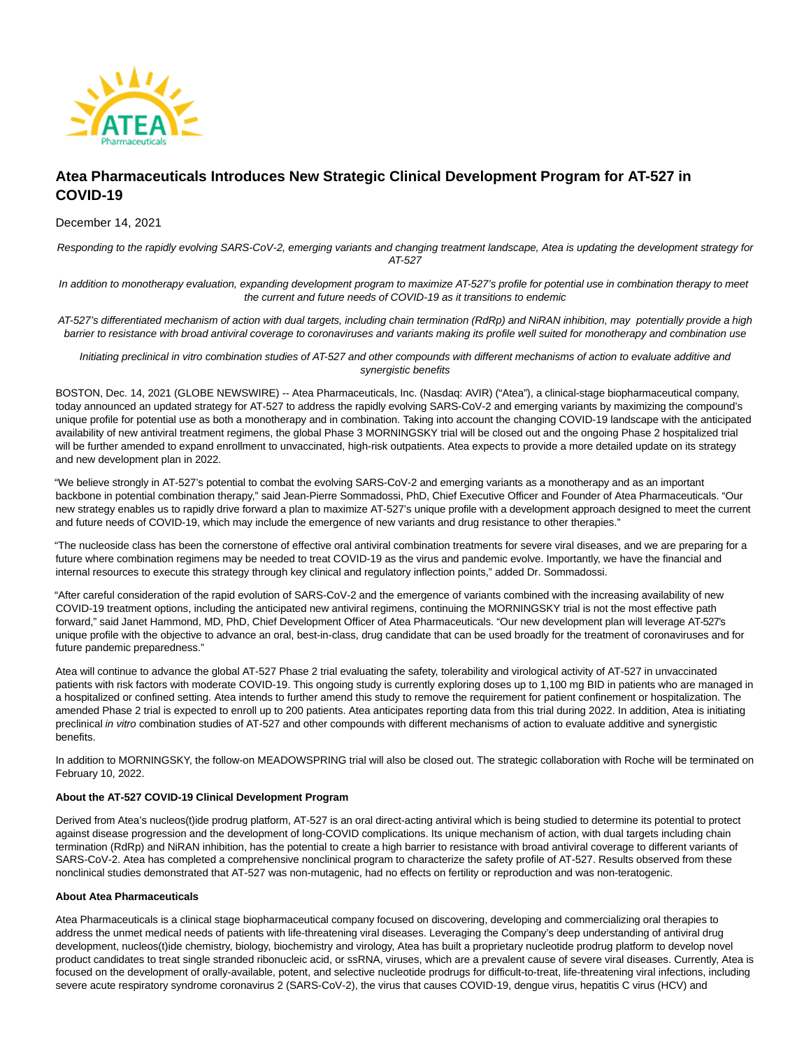

# **Atea Pharmaceuticals Introduces New Strategic Clinical Development Program for AT-527 in COVID-19**

December 14, 2021

Responding to the rapidly evolving SARS-CoV-2, emerging variants and changing treatment landscape, Atea is updating the development strategy for AT-527

In addition to monotherapy evaluation, expanding development program to maximize AT-527's profile for potential use in combination therapy to meet the current and future needs of COVID-19 as it transitions to endemic

AT-527's differentiated mechanism of action with dual targets, including chain termination (RdRp) and NiRAN inhibition, may potentially provide a high barrier to resistance with broad antiviral coverage to coronaviruses and variants making its profile well suited for monotherapy and combination use

Initiating preclinical in vitro combination studies of AT-527 and other compounds with different mechanisms of action to evaluate additive and synergistic benefits

BOSTON, Dec. 14, 2021 (GLOBE NEWSWIRE) -- Atea Pharmaceuticals, Inc. (Nasdaq: AVIR) ("Atea"), a clinical-stage biopharmaceutical company, today announced an updated strategy for AT-527 to address the rapidly evolving SARS-CoV-2 and emerging variants by maximizing the compound's unique profile for potential use as both a monotherapy and in combination. Taking into account the changing COVID-19 landscape with the anticipated availability of new antiviral treatment regimens, the global Phase 3 MORNINGSKY trial will be closed out and the ongoing Phase 2 hospitalized trial will be further amended to expand enrollment to unvaccinated, high-risk outpatients. Atea expects to provide a more detailed update on its strategy and new development plan in 2022.

"We believe strongly in AT-527's potential to combat the evolving SARS-CoV-2 and emerging variants as a monotherapy and as an important backbone in potential combination therapy," said Jean-Pierre Sommadossi, PhD, Chief Executive Officer and Founder of Atea Pharmaceuticals. "Our new strategy enables us to rapidly drive forward a plan to maximize AT-527's unique profile with a development approach designed to meet the current and future needs of COVID-19, which may include the emergence of new variants and drug resistance to other therapies."

"The nucleoside class has been the cornerstone of effective oral antiviral combination treatments for severe viral diseases, and we are preparing for a future where combination regimens may be needed to treat COVID-19 as the virus and pandemic evolve. Importantly, we have the financial and internal resources to execute this strategy through key clinical and regulatory inflection points," added Dr. Sommadossi.

"After careful consideration of the rapid evolution of SARS-CoV-2 and the emergence of variants combined with the increasing availability of new COVID-19 treatment options, including the anticipated new antiviral regimens, continuing the MORNINGSKY trial is not the most effective path forward," said Janet Hammond, MD, PhD, Chief Development Officer of Atea Pharmaceuticals. "Our new development plan will leverage AT-527's unique profile with the objective to advance an oral, best-in-class, drug candidate that can be used broadly for the treatment of coronaviruses and for future pandemic preparedness."

Atea will continue to advance the global AT-527 Phase 2 trial evaluating the safety, tolerability and virological activity of AT-527 in unvaccinated patients with risk factors with moderate COVID-19. This ongoing study is currently exploring doses up to 1,100 mg BID in patients who are managed in a hospitalized or confined setting. Atea intends to further amend this study to remove the requirement for patient confinement or hospitalization. The amended Phase 2 trial is expected to enroll up to 200 patients. Atea anticipates reporting data from this trial during 2022. In addition, Atea is initiating preclinical in vitro combination studies of AT-527 and other compounds with different mechanisms of action to evaluate additive and synergistic benefits.

In addition to MORNINGSKY, the follow-on MEADOWSPRING trial will also be closed out. The strategic collaboration with Roche will be terminated on February 10, 2022.

# **About the AT-527 COVID-19 Clinical Development Program**

Derived from Atea's nucleos(t)ide prodrug platform, AT-527 is an oral direct-acting antiviral which is being studied to determine its potential to protect against disease progression and the development of long-COVID complications. Its unique mechanism of action, with dual targets including chain termination (RdRp) and NiRAN inhibition, has the potential to create a high barrier to resistance with broad antiviral coverage to different variants of SARS-CoV-2. Atea has completed a comprehensive nonclinical program to characterize the safety profile of AT-527. Results observed from these nonclinical studies demonstrated that AT-527 was non-mutagenic, had no effects on fertility or reproduction and was non-teratogenic.

# **About Atea Pharmaceuticals**

Atea Pharmaceuticals is a clinical stage biopharmaceutical company focused on discovering, developing and commercializing oral therapies to address the unmet medical needs of patients with life-threatening viral diseases. Leveraging the Company's deep understanding of antiviral drug development, nucleos(t)ide chemistry, biology, biochemistry and virology, Atea has built a proprietary nucleotide prodrug platform to develop novel product candidates to treat single stranded ribonucleic acid, or ssRNA, viruses, which are a prevalent cause of severe viral diseases. Currently, Atea is focused on the development of orally-available, potent, and selective nucleotide prodrugs for difficult-to-treat, life-threatening viral infections, including severe acute respiratory syndrome coronavirus 2 (SARS-CoV-2), the virus that causes COVID-19, dengue virus, hepatitis C virus (HCV) and